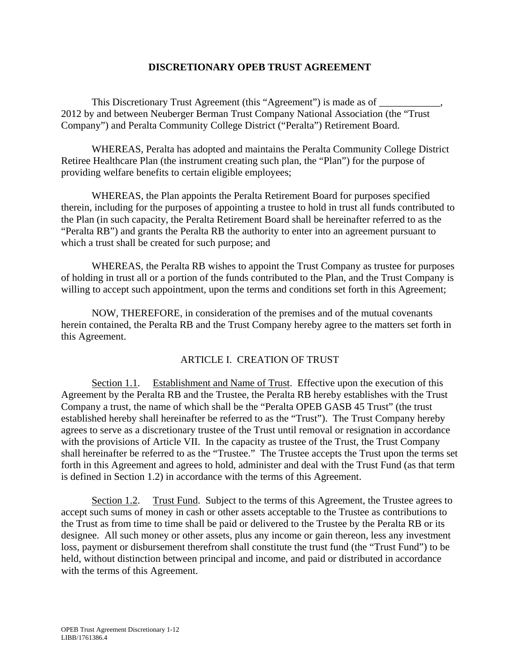## **DISCRETIONARY OPEB TRUST AGREEMENT**

This Discretionary Trust Agreement (this "Agreement") is made as of \_\_\_\_\_\_\_\_\_\_\_\_ 2012 by and between Neuberger Berman Trust Company National Association (the "Trust Company") and Peralta Community College District ("Peralta") Retirement Board.

 WHEREAS, Peralta has adopted and maintains the Peralta Community College District Retiree Healthcare Plan (the instrument creating such plan, the "Plan") for the purpose of providing welfare benefits to certain eligible employees;

 WHEREAS, the Plan appoints the Peralta Retirement Board for purposes specified therein, including for the purposes of appointing a trustee to hold in trust all funds contributed to the Plan (in such capacity, the Peralta Retirement Board shall be hereinafter referred to as the "Peralta RB") and grants the Peralta RB the authority to enter into an agreement pursuant to which a trust shall be created for such purpose; and

 WHEREAS, the Peralta RB wishes to appoint the Trust Company as trustee for purposes of holding in trust all or a portion of the funds contributed to the Plan, and the Trust Company is willing to accept such appointment, upon the terms and conditions set forth in this Agreement;

 NOW, THEREFORE, in consideration of the premises and of the mutual covenants herein contained, the Peralta RB and the Trust Company hereby agree to the matters set forth in this Agreement.

## ARTICLE I. CREATION OF TRUST

Section 1.1. Establishment and Name of Trust. Effective upon the execution of this Agreement by the Peralta RB and the Trustee, the Peralta RB hereby establishes with the Trust Company a trust, the name of which shall be the "Peralta OPEB GASB 45 Trust" (the trust established hereby shall hereinafter be referred to as the "Trust"). The Trust Company hereby agrees to serve as a discretionary trustee of the Trust until removal or resignation in accordance with the provisions of Article VII. In the capacity as trustee of the Trust, the Trust Company shall hereinafter be referred to as the "Trustee." The Trustee accepts the Trust upon the terms set forth in this Agreement and agrees to hold, administer and deal with the Trust Fund (as that term is defined in Section 1.2) in accordance with the terms of this Agreement.

Section 1.2. Trust Fund. Subject to the terms of this Agreement, the Trustee agrees to accept such sums of money in cash or other assets acceptable to the Trustee as contributions to the Trust as from time to time shall be paid or delivered to the Trustee by the Peralta RB or its designee. All such money or other assets, plus any income or gain thereon, less any investment loss, payment or disbursement therefrom shall constitute the trust fund (the "Trust Fund") to be held, without distinction between principal and income, and paid or distributed in accordance with the terms of this Agreement.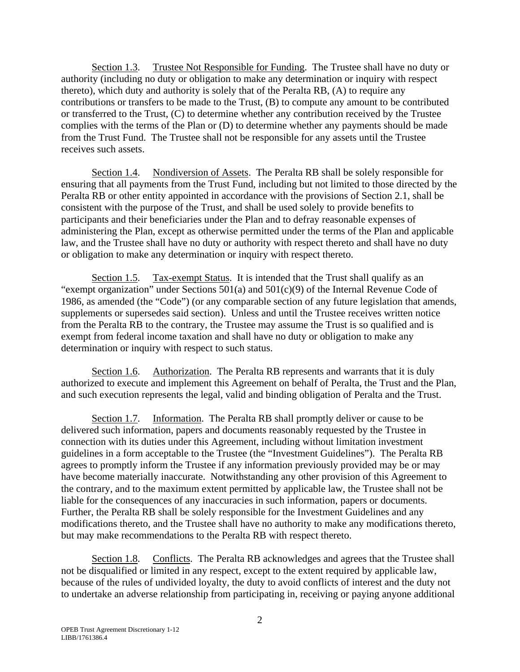Section 1.3. Trustee Not Responsible for Funding. The Trustee shall have no duty or authority (including no duty or obligation to make any determination or inquiry with respect thereto), which duty and authority is solely that of the Peralta RB, (A) to require any contributions or transfers to be made to the Trust, (B) to compute any amount to be contributed or transferred to the Trust, (C) to determine whether any contribution received by the Trustee complies with the terms of the Plan or (D) to determine whether any payments should be made from the Trust Fund. The Trustee shall not be responsible for any assets until the Trustee receives such assets.

Section 1.4. Nondiversion of Assets. The Peralta RB shall be solely responsible for ensuring that all payments from the Trust Fund, including but not limited to those directed by the Peralta RB or other entity appointed in accordance with the provisions of Section 2.1, shall be consistent with the purpose of the Trust, and shall be used solely to provide benefits to participants and their beneficiaries under the Plan and to defray reasonable expenses of administering the Plan, except as otherwise permitted under the terms of the Plan and applicable law, and the Trustee shall have no duty or authority with respect thereto and shall have no duty or obligation to make any determination or inquiry with respect thereto.

Section 1.5. Tax-exempt Status. It is intended that the Trust shall qualify as an "exempt organization" under Sections 501(a) and 501(c)(9) of the Internal Revenue Code of 1986, as amended (the "Code") (or any comparable section of any future legislation that amends, supplements or supersedes said section). Unless and until the Trustee receives written notice from the Peralta RB to the contrary, the Trustee may assume the Trust is so qualified and is exempt from federal income taxation and shall have no duty or obligation to make any determination or inquiry with respect to such status.

Section 1.6. Authorization. The Peralta RB represents and warrants that it is duly authorized to execute and implement this Agreement on behalf of Peralta, the Trust and the Plan, and such execution represents the legal, valid and binding obligation of Peralta and the Trust.

Section 1.7. Information. The Peralta RB shall promptly deliver or cause to be delivered such information, papers and documents reasonably requested by the Trustee in connection with its duties under this Agreement, including without limitation investment guidelines in a form acceptable to the Trustee (the "Investment Guidelines"). The Peralta RB agrees to promptly inform the Trustee if any information previously provided may be or may have become materially inaccurate. Notwithstanding any other provision of this Agreement to the contrary, and to the maximum extent permitted by applicable law, the Trustee shall not be liable for the consequences of any inaccuracies in such information, papers or documents. Further, the Peralta RB shall be solely responsible for the Investment Guidelines and any modifications thereto, and the Trustee shall have no authority to make any modifications thereto, but may make recommendations to the Peralta RB with respect thereto.

Section 1.8. Conflicts. The Peralta RB acknowledges and agrees that the Trustee shall not be disqualified or limited in any respect, except to the extent required by applicable law, because of the rules of undivided loyalty, the duty to avoid conflicts of interest and the duty not to undertake an adverse relationship from participating in, receiving or paying anyone additional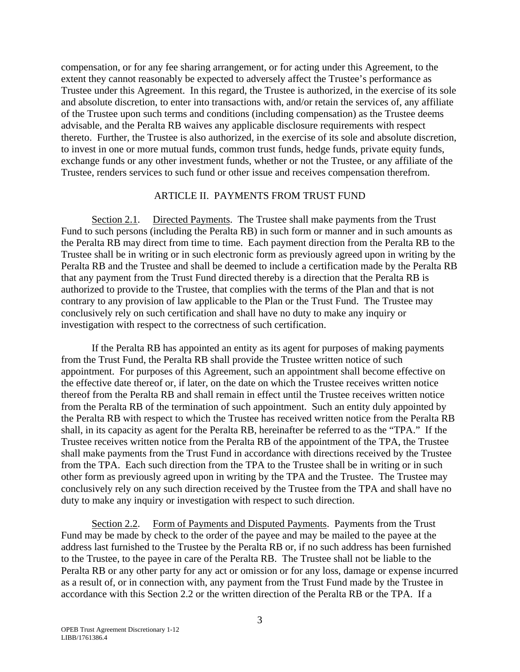compensation, or for any fee sharing arrangement, or for acting under this Agreement, to the extent they cannot reasonably be expected to adversely affect the Trustee's performance as Trustee under this Agreement. In this regard, the Trustee is authorized, in the exercise of its sole and absolute discretion, to enter into transactions with, and/or retain the services of, any affiliate of the Trustee upon such terms and conditions (including compensation) as the Trustee deems advisable, and the Peralta RB waives any applicable disclosure requirements with respect thereto. Further, the Trustee is also authorized, in the exercise of its sole and absolute discretion, to invest in one or more mutual funds, common trust funds, hedge funds, private equity funds, exchange funds or any other investment funds, whether or not the Trustee, or any affiliate of the Trustee, renders services to such fund or other issue and receives compensation therefrom.

## ARTICLE II. PAYMENTS FROM TRUST FUND

Section 2.1. Directed Payments. The Trustee shall make payments from the Trust Fund to such persons (including the Peralta RB) in such form or manner and in such amounts as the Peralta RB may direct from time to time. Each payment direction from the Peralta RB to the Trustee shall be in writing or in such electronic form as previously agreed upon in writing by the Peralta RB and the Trustee and shall be deemed to include a certification made by the Peralta RB that any payment from the Trust Fund directed thereby is a direction that the Peralta RB is authorized to provide to the Trustee, that complies with the terms of the Plan and that is not contrary to any provision of law applicable to the Plan or the Trust Fund. The Trustee may conclusively rely on such certification and shall have no duty to make any inquiry or investigation with respect to the correctness of such certification.

If the Peralta RB has appointed an entity as its agent for purposes of making payments from the Trust Fund, the Peralta RB shall provide the Trustee written notice of such appointment. For purposes of this Agreement, such an appointment shall become effective on the effective date thereof or, if later, on the date on which the Trustee receives written notice thereof from the Peralta RB and shall remain in effect until the Trustee receives written notice from the Peralta RB of the termination of such appointment. Such an entity duly appointed by the Peralta RB with respect to which the Trustee has received written notice from the Peralta RB shall, in its capacity as agent for the Peralta RB, hereinafter be referred to as the "TPA." If the Trustee receives written notice from the Peralta RB of the appointment of the TPA, the Trustee shall make payments from the Trust Fund in accordance with directions received by the Trustee from the TPA. Each such direction from the TPA to the Trustee shall be in writing or in such other form as previously agreed upon in writing by the TPA and the Trustee. The Trustee may conclusively rely on any such direction received by the Trustee from the TPA and shall have no duty to make any inquiry or investigation with respect to such direction.

Section 2.2. Form of Payments and Disputed Payments. Payments from the Trust Fund may be made by check to the order of the payee and may be mailed to the payee at the address last furnished to the Trustee by the Peralta RB or, if no such address has been furnished to the Trustee, to the payee in care of the Peralta RB. The Trustee shall not be liable to the Peralta RB or any other party for any act or omission or for any loss, damage or expense incurred as a result of, or in connection with, any payment from the Trust Fund made by the Trustee in accordance with this Section 2.2 or the written direction of the Peralta RB or the TPA. If a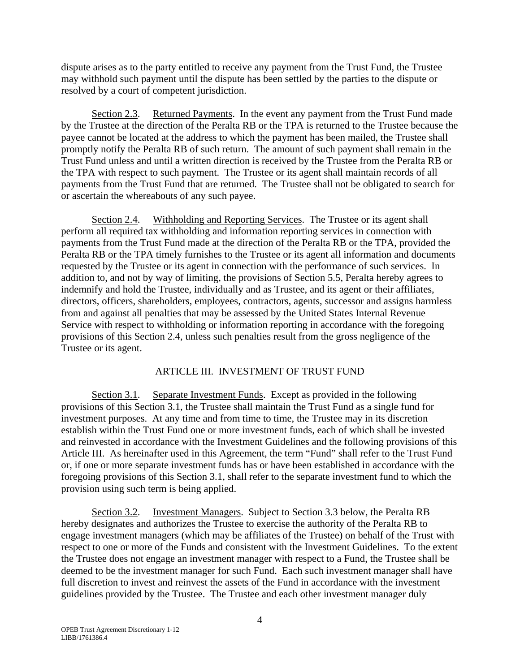dispute arises as to the party entitled to receive any payment from the Trust Fund, the Trustee may withhold such payment until the dispute has been settled by the parties to the dispute or resolved by a court of competent jurisdiction.

Section 2.3. Returned Payments. In the event any payment from the Trust Fund made by the Trustee at the direction of the Peralta RB or the TPA is returned to the Trustee because the payee cannot be located at the address to which the payment has been mailed, the Trustee shall promptly notify the Peralta RB of such return. The amount of such payment shall remain in the Trust Fund unless and until a written direction is received by the Trustee from the Peralta RB or the TPA with respect to such payment. The Trustee or its agent shall maintain records of all payments from the Trust Fund that are returned. The Trustee shall not be obligated to search for or ascertain the whereabouts of any such payee.

Section 2.4. Withholding and Reporting Services. The Trustee or its agent shall perform all required tax withholding and information reporting services in connection with payments from the Trust Fund made at the direction of the Peralta RB or the TPA, provided the Peralta RB or the TPA timely furnishes to the Trustee or its agent all information and documents requested by the Trustee or its agent in connection with the performance of such services. In addition to, and not by way of limiting, the provisions of Section 5.5, Peralta hereby agrees to indemnify and hold the Trustee, individually and as Trustee, and its agent or their affiliates, directors, officers, shareholders, employees, contractors, agents, successor and assigns harmless from and against all penalties that may be assessed by the United States Internal Revenue Service with respect to withholding or information reporting in accordance with the foregoing provisions of this Section 2.4, unless such penalties result from the gross negligence of the Trustee or its agent.

## ARTICLE III. INVESTMENT OF TRUST FUND

Section 3.1. Separate Investment Funds. Except as provided in the following provisions of this Section 3.1, the Trustee shall maintain the Trust Fund as a single fund for investment purposes. At any time and from time to time, the Trustee may in its discretion establish within the Trust Fund one or more investment funds, each of which shall be invested and reinvested in accordance with the Investment Guidelines and the following provisions of this Article III. As hereinafter used in this Agreement, the term "Fund" shall refer to the Trust Fund or, if one or more separate investment funds has or have been established in accordance with the foregoing provisions of this Section 3.1, shall refer to the separate investment fund to which the provision using such term is being applied.

Section 3.2. Investment Managers. Subject to Section 3.3 below, the Peralta RB hereby designates and authorizes the Trustee to exercise the authority of the Peralta RB to engage investment managers (which may be affiliates of the Trustee) on behalf of the Trust with respect to one or more of the Funds and consistent with the Investment Guidelines. To the extent the Trustee does not engage an investment manager with respect to a Fund, the Trustee shall be deemed to be the investment manager for such Fund. Each such investment manager shall have full discretion to invest and reinvest the assets of the Fund in accordance with the investment guidelines provided by the Trustee. The Trustee and each other investment manager duly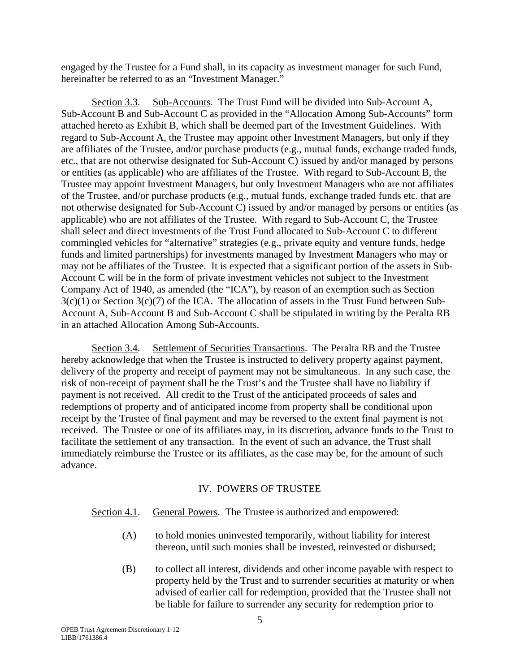engaged by the Trustee for a Fund shall, in its capacity as investment manager for such Fund, hereinafter be referred to as an "Investment Manager."

Section 3.3. Sub-Accounts. The Trust Fund will be divided into Sub-Account A, Sub-Account B and Sub-Account C as provided in the "Allocation Among Sub-Accounts" form attached hereto as Exhibit B, which shall be deemed part of the Investment Guidelines. With regard to Sub-Account A, the Trustee may appoint other Investment Managers, but only if they are affiliates of the Trustee, and/or purchase products (e.g., mutual funds, exchange traded funds, etc., that are not otherwise designated for Sub-Account C) issued by and/or managed by persons or entities (as applicable) who are affiliates of the Trustee. With regard to Sub-Account B, the Trustee may appoint Investment Managers, but only Investment Managers who are not affiliates of the Trustee, and/or purchase products (e.g., mutual funds, exchange traded funds etc. that are not otherwise designated for Sub-Account C) issued by and/or managed by persons or entities (as applicable) who are not affiliates of the Trustee. With regard to Sub-Account C, the Trustee shall select and direct investments of the Trust Fund allocated to Sub-Account C to different commingled vehicles for "alternative" strategies (e.g., private equity and venture funds, hedge funds and limited partnerships) for investments managed by Investment Managers who may or may not be affiliates of the Trustee. It is expected that a significant portion of the assets in Sub-Account C will be in the form of private investment vehicles not subject to the Investment Company Act of 1940, as amended (the "ICA"), by reason of an exemption such as Section  $3(c)(1)$  or Section  $3(c)(7)$  of the ICA. The allocation of assets in the Trust Fund between Sub-Account A, Sub-Account B and Sub-Account C shall be stipulated in writing by the Peralta RB in an attached Allocation Among Sub-Accounts.

Section 3.4. Settlement of Securities Transactions. The Peralta RB and the Trustee hereby acknowledge that when the Trustee is instructed to delivery property against payment, delivery of the property and receipt of payment may not be simultaneous. In any such case, the risk of non-receipt of payment shall be the Trust's and the Trustee shall have no liability if payment is not received. All credit to the Trust of the anticipated proceeds of sales and redemptions of property and of anticipated income from property shall be conditional upon receipt by the Trustee of final payment and may be reversed to the extent final payment is not received. The Trustee or one of its affiliates may, in its discretion, advance funds to the Trust to facilitate the settlement of any transaction. In the event of such an advance, the Trust shall immediately reimburse the Trustee or its affiliates, as the case may be, for the amount of such advance.

#### IV. POWERS OF TRUSTEE

#### Section 4.1. General Powers. The Trustee is authorized and empowered:

- (A) to hold monies uninvested temporarily, without liability for interest thereon, until such monies shall be invested, reinvested or disbursed;
- (B) to collect all interest, dividends and other income payable with respect to property held by the Trust and to surrender securities at maturity or when advised of earlier call for redemption, provided that the Trustee shall not be liable for failure to surrender any security for redemption prior to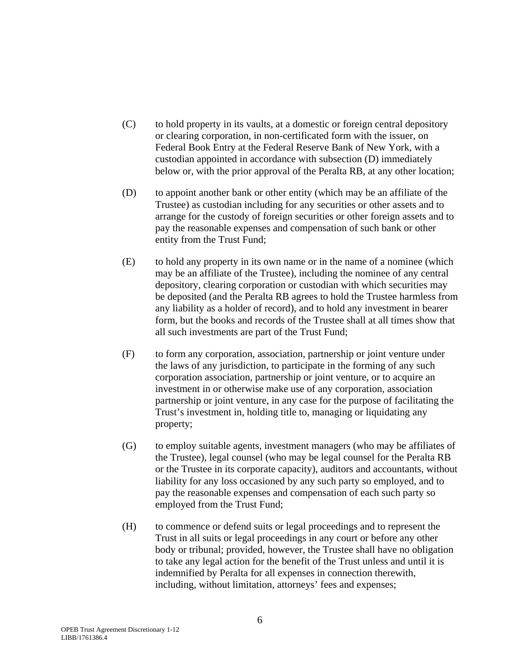- (C) to hold property in its vaults, at a domestic or foreign central depository or clearing corporation, in non-certificated form with the issuer, on Federal Book Entry at the Federal Reserve Bank of New York, with a custodian appointed in accordance with subsection (D) immediately below or, with the prior approval of the Peralta RB, at any other location;
- (D) to appoint another bank or other entity (which may be an affiliate of the Trustee) as custodian including for any securities or other assets and to arrange for the custody of foreign securities or other foreign assets and to pay the reasonable expenses and compensation of such bank or other entity from the Trust Fund;
- (E) to hold any property in its own name or in the name of a nominee (which may be an affiliate of the Trustee), including the nominee of any central depository, clearing corporation or custodian with which securities may be deposited (and the Peralta RB agrees to hold the Trustee harmless from any liability as a holder of record), and to hold any investment in bearer form, but the books and records of the Trustee shall at all times show that all such investments are part of the Trust Fund;
- (F) to form any corporation, association, partnership or joint venture under the laws of any jurisdiction, to participate in the forming of any such corporation association, partnership or joint venture, or to acquire an investment in or otherwise make use of any corporation, association partnership or joint venture, in any case for the purpose of facilitating the Trust's investment in, holding title to, managing or liquidating any property;
- (G) to employ suitable agents, investment managers (who may be affiliates of the Trustee), legal counsel (who may be legal counsel for the Peralta RB or the Trustee in its corporate capacity), auditors and accountants, without liability for any loss occasioned by any such party so employed, and to pay the reasonable expenses and compensation of each such party so employed from the Trust Fund;
- (H) to commence or defend suits or legal proceedings and to represent the Trust in all suits or legal proceedings in any court or before any other body or tribunal; provided, however, the Trustee shall have no obligation to take any legal action for the benefit of the Trust unless and until it is indemnified by Peralta for all expenses in connection therewith, including, without limitation, attorneys' fees and expenses;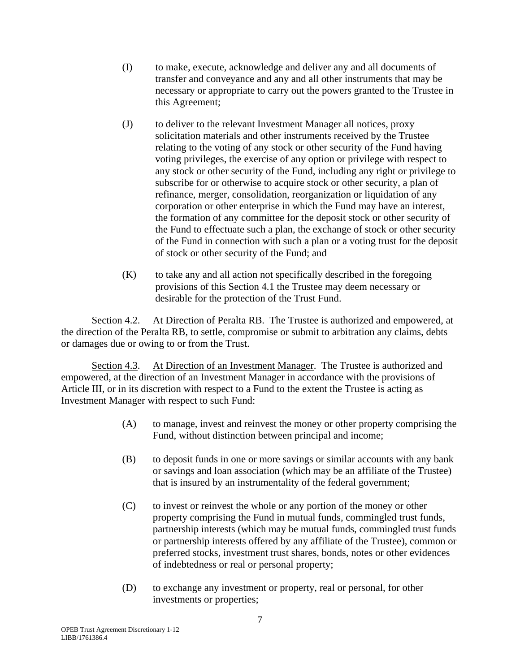- (I) to make, execute, acknowledge and deliver any and all documents of transfer and conveyance and any and all other instruments that may be necessary or appropriate to carry out the powers granted to the Trustee in this Agreement;
- (J) to deliver to the relevant Investment Manager all notices, proxy solicitation materials and other instruments received by the Trustee relating to the voting of any stock or other security of the Fund having voting privileges, the exercise of any option or privilege with respect to any stock or other security of the Fund, including any right or privilege to subscribe for or otherwise to acquire stock or other security, a plan of refinance, merger, consolidation, reorganization or liquidation of any corporation or other enterprise in which the Fund may have an interest, the formation of any committee for the deposit stock or other security of the Fund to effectuate such a plan, the exchange of stock or other security of the Fund in connection with such a plan or a voting trust for the deposit of stock or other security of the Fund; and
- $(K)$  to take any and all action not specifically described in the foregoing provisions of this Section 4.1 the Trustee may deem necessary or desirable for the protection of the Trust Fund.

Section 4.2. At Direction of Peralta RB. The Trustee is authorized and empowered, at the direction of the Peralta RB, to settle, compromise or submit to arbitration any claims, debts or damages due or owing to or from the Trust.

Section 4.3. At Direction of an Investment Manager. The Trustee is authorized and empowered, at the direction of an Investment Manager in accordance with the provisions of Article III, or in its discretion with respect to a Fund to the extent the Trustee is acting as Investment Manager with respect to such Fund:

- (A) to manage, invest and reinvest the money or other property comprising the Fund, without distinction between principal and income;
- (B) to deposit funds in one or more savings or similar accounts with any bank or savings and loan association (which may be an affiliate of the Trustee) that is insured by an instrumentality of the federal government;
- (C) to invest or reinvest the whole or any portion of the money or other property comprising the Fund in mutual funds, commingled trust funds, partnership interests (which may be mutual funds, commingled trust funds or partnership interests offered by any affiliate of the Trustee), common or preferred stocks, investment trust shares, bonds, notes or other evidences of indebtedness or real or personal property;
- (D) to exchange any investment or property, real or personal, for other investments or properties;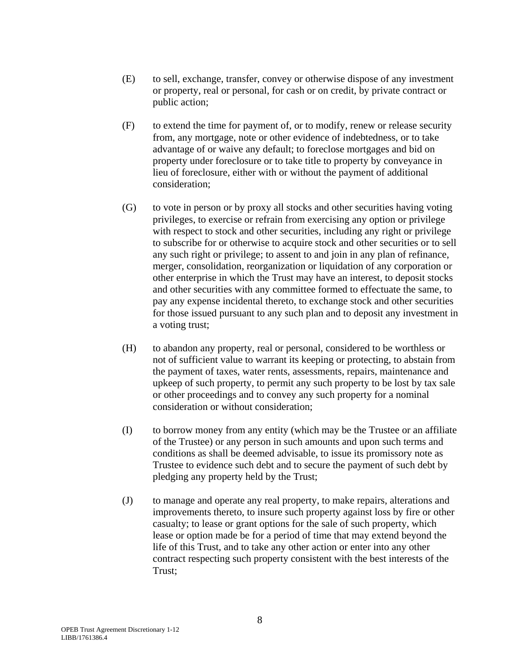- (E) to sell, exchange, transfer, convey or otherwise dispose of any investment or property, real or personal, for cash or on credit, by private contract or public action;
- (F) to extend the time for payment of, or to modify, renew or release security from, any mortgage, note or other evidence of indebtedness, or to take advantage of or waive any default; to foreclose mortgages and bid on property under foreclosure or to take title to property by conveyance in lieu of foreclosure, either with or without the payment of additional consideration;
- (G) to vote in person or by proxy all stocks and other securities having voting privileges, to exercise or refrain from exercising any option or privilege with respect to stock and other securities, including any right or privilege to subscribe for or otherwise to acquire stock and other securities or to sell any such right or privilege; to assent to and join in any plan of refinance, merger, consolidation, reorganization or liquidation of any corporation or other enterprise in which the Trust may have an interest, to deposit stocks and other securities with any committee formed to effectuate the same, to pay any expense incidental thereto, to exchange stock and other securities for those issued pursuant to any such plan and to deposit any investment in a voting trust;
- (H) to abandon any property, real or personal, considered to be worthless or not of sufficient value to warrant its keeping or protecting, to abstain from the payment of taxes, water rents, assessments, repairs, maintenance and upkeep of such property, to permit any such property to be lost by tax sale or other proceedings and to convey any such property for a nominal consideration or without consideration;
- (I) to borrow money from any entity (which may be the Trustee or an affiliate of the Trustee) or any person in such amounts and upon such terms and conditions as shall be deemed advisable, to issue its promissory note as Trustee to evidence such debt and to secure the payment of such debt by pledging any property held by the Trust;
- (J) to manage and operate any real property, to make repairs, alterations and improvements thereto, to insure such property against loss by fire or other casualty; to lease or grant options for the sale of such property, which lease or option made be for a period of time that may extend beyond the life of this Trust, and to take any other action or enter into any other contract respecting such property consistent with the best interests of the Trust;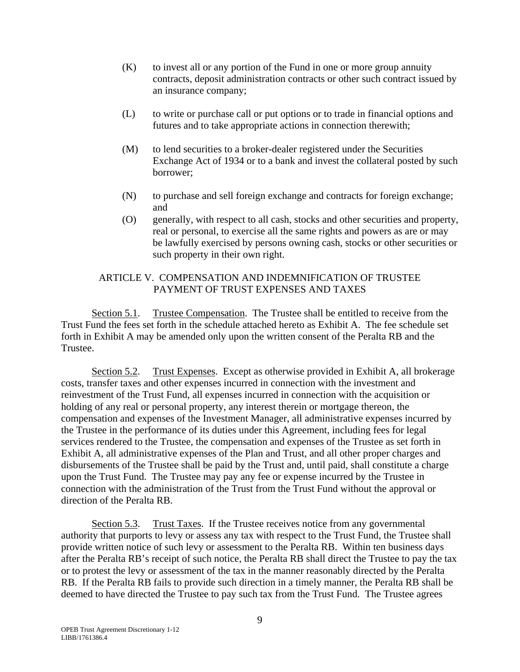- (K) to invest all or any portion of the Fund in one or more group annuity contracts, deposit administration contracts or other such contract issued by an insurance company;
- (L) to write or purchase call or put options or to trade in financial options and futures and to take appropriate actions in connection therewith;
- (M) to lend securities to a broker-dealer registered under the Securities Exchange Act of 1934 or to a bank and invest the collateral posted by such borrower;
- (N) to purchase and sell foreign exchange and contracts for foreign exchange; and
- (O) generally, with respect to all cash, stocks and other securities and property, real or personal, to exercise all the same rights and powers as are or may be lawfully exercised by persons owning cash, stocks or other securities or such property in their own right.

# ARTICLE V. COMPENSATION AND INDEMNIFICATION OF TRUSTEE PAYMENT OF TRUST EXPENSES AND TAXES

Section 5.1. Trustee Compensation. The Trustee shall be entitled to receive from the Trust Fund the fees set forth in the schedule attached hereto as Exhibit A. The fee schedule set forth in Exhibit A may be amended only upon the written consent of the Peralta RB and the Trustee.

Section 5.2. Trust Expenses. Except as otherwise provided in Exhibit A, all brokerage costs, transfer taxes and other expenses incurred in connection with the investment and reinvestment of the Trust Fund, all expenses incurred in connection with the acquisition or holding of any real or personal property, any interest therein or mortgage thereon, the compensation and expenses of the Investment Manager, all administrative expenses incurred by the Trustee in the performance of its duties under this Agreement, including fees for legal services rendered to the Trustee, the compensation and expenses of the Trustee as set forth in Exhibit A, all administrative expenses of the Plan and Trust, and all other proper charges and disbursements of the Trustee shall be paid by the Trust and, until paid, shall constitute a charge upon the Trust Fund. The Trustee may pay any fee or expense incurred by the Trustee in connection with the administration of the Trust from the Trust Fund without the approval or direction of the Peralta RB.

Section 5.3. Trust Taxes. If the Trustee receives notice from any governmental authority that purports to levy or assess any tax with respect to the Trust Fund, the Trustee shall provide written notice of such levy or assessment to the Peralta RB. Within ten business days after the Peralta RB's receipt of such notice, the Peralta RB shall direct the Trustee to pay the tax or to protest the levy or assessment of the tax in the manner reasonably directed by the Peralta RB. If the Peralta RB fails to provide such direction in a timely manner, the Peralta RB shall be deemed to have directed the Trustee to pay such tax from the Trust Fund. The Trustee agrees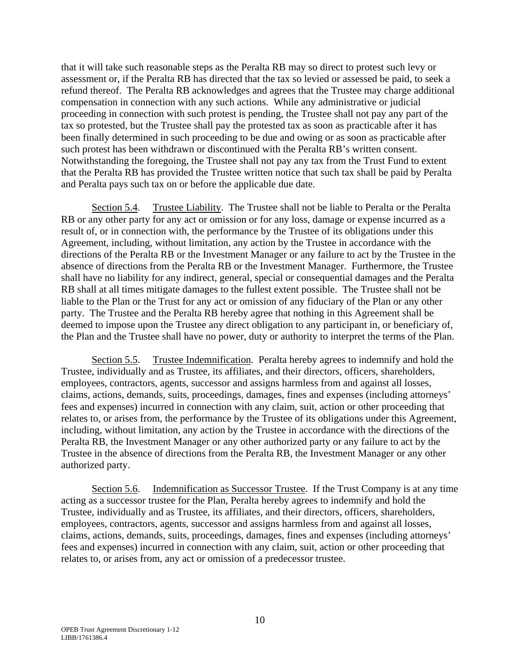that it will take such reasonable steps as the Peralta RB may so direct to protest such levy or assessment or, if the Peralta RB has directed that the tax so levied or assessed be paid, to seek a refund thereof. The Peralta RB acknowledges and agrees that the Trustee may charge additional compensation in connection with any such actions. While any administrative or judicial proceeding in connection with such protest is pending, the Trustee shall not pay any part of the tax so protested, but the Trustee shall pay the protested tax as soon as practicable after it has been finally determined in such proceeding to be due and owing or as soon as practicable after such protest has been withdrawn or discontinued with the Peralta RB's written consent. Notwithstanding the foregoing, the Trustee shall not pay any tax from the Trust Fund to extent that the Peralta RB has provided the Trustee written notice that such tax shall be paid by Peralta and Peralta pays such tax on or before the applicable due date.

Section 5.4. Trustee Liability. The Trustee shall not be liable to Peralta or the Peralta RB or any other party for any act or omission or for any loss, damage or expense incurred as a result of, or in connection with, the performance by the Trustee of its obligations under this Agreement, including, without limitation, any action by the Trustee in accordance with the directions of the Peralta RB or the Investment Manager or any failure to act by the Trustee in the absence of directions from the Peralta RB or the Investment Manager. Furthermore, the Trustee shall have no liability for any indirect, general, special or consequential damages and the Peralta RB shall at all times mitigate damages to the fullest extent possible. The Trustee shall not be liable to the Plan or the Trust for any act or omission of any fiduciary of the Plan or any other party. The Trustee and the Peralta RB hereby agree that nothing in this Agreement shall be deemed to impose upon the Trustee any direct obligation to any participant in, or beneficiary of, the Plan and the Trustee shall have no power, duty or authority to interpret the terms of the Plan.

Section 5.5. Trustee Indemnification. Peralta hereby agrees to indemnify and hold the Trustee, individually and as Trustee, its affiliates, and their directors, officers, shareholders, employees, contractors, agents, successor and assigns harmless from and against all losses, claims, actions, demands, suits, proceedings, damages, fines and expenses (including attorneys' fees and expenses) incurred in connection with any claim, suit, action or other proceeding that relates to, or arises from, the performance by the Trustee of its obligations under this Agreement, including, without limitation, any action by the Trustee in accordance with the directions of the Peralta RB, the Investment Manager or any other authorized party or any failure to act by the Trustee in the absence of directions from the Peralta RB, the Investment Manager or any other authorized party.

Section 5.6. Indemnification as Successor Trustee. If the Trust Company is at any time acting as a successor trustee for the Plan, Peralta hereby agrees to indemnify and hold the Trustee, individually and as Trustee, its affiliates, and their directors, officers, shareholders, employees, contractors, agents, successor and assigns harmless from and against all losses, claims, actions, demands, suits, proceedings, damages, fines and expenses (including attorneys' fees and expenses) incurred in connection with any claim, suit, action or other proceeding that relates to, or arises from, any act or omission of a predecessor trustee.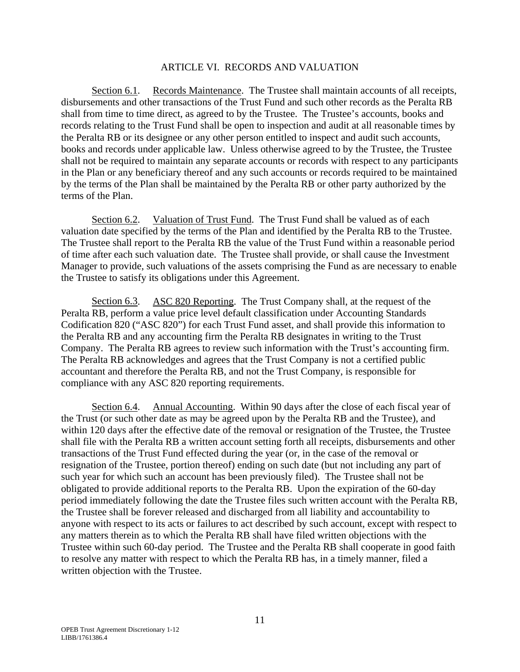#### ARTICLE VI. RECORDS AND VALUATION

Section 6.1. Records Maintenance. The Trustee shall maintain accounts of all receipts, disbursements and other transactions of the Trust Fund and such other records as the Peralta RB shall from time to time direct, as agreed to by the Trustee. The Trustee's accounts, books and records relating to the Trust Fund shall be open to inspection and audit at all reasonable times by the Peralta RB or its designee or any other person entitled to inspect and audit such accounts, books and records under applicable law. Unless otherwise agreed to by the Trustee, the Trustee shall not be required to maintain any separate accounts or records with respect to any participants in the Plan or any beneficiary thereof and any such accounts or records required to be maintained by the terms of the Plan shall be maintained by the Peralta RB or other party authorized by the terms of the Plan.

Section 6.2. Valuation of Trust Fund. The Trust Fund shall be valued as of each valuation date specified by the terms of the Plan and identified by the Peralta RB to the Trustee. The Trustee shall report to the Peralta RB the value of the Trust Fund within a reasonable period of time after each such valuation date. The Trustee shall provide, or shall cause the Investment Manager to provide, such valuations of the assets comprising the Fund as are necessary to enable the Trustee to satisfy its obligations under this Agreement.

Section 6.3. ASC 820 Reporting. The Trust Company shall, at the request of the Peralta RB, perform a value price level default classification under Accounting Standards Codification 820 ("ASC 820") for each Trust Fund asset, and shall provide this information to the Peralta RB and any accounting firm the Peralta RB designates in writing to the Trust Company. The Peralta RB agrees to review such information with the Trust's accounting firm. The Peralta RB acknowledges and agrees that the Trust Company is not a certified public accountant and therefore the Peralta RB, and not the Trust Company, is responsible for compliance with any ASC 820 reporting requirements.

Section 6.4. Annual Accounting. Within 90 days after the close of each fiscal year of the Trust (or such other date as may be agreed upon by the Peralta RB and the Trustee), and within 120 days after the effective date of the removal or resignation of the Trustee, the Trustee shall file with the Peralta RB a written account setting forth all receipts, disbursements and other transactions of the Trust Fund effected during the year (or, in the case of the removal or resignation of the Trustee, portion thereof) ending on such date (but not including any part of such year for which such an account has been previously filed). The Trustee shall not be obligated to provide additional reports to the Peralta RB. Upon the expiration of the 60-day period immediately following the date the Trustee files such written account with the Peralta RB, the Trustee shall be forever released and discharged from all liability and accountability to anyone with respect to its acts or failures to act described by such account, except with respect to any matters therein as to which the Peralta RB shall have filed written objections with the Trustee within such 60-day period. The Trustee and the Peralta RB shall cooperate in good faith to resolve any matter with respect to which the Peralta RB has, in a timely manner, filed a written objection with the Trustee.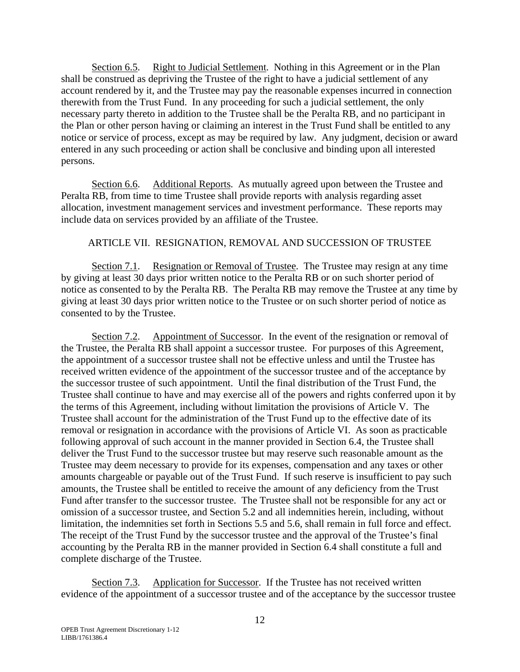Section 6.5. Right to Judicial Settlement. Nothing in this Agreement or in the Plan shall be construed as depriving the Trustee of the right to have a judicial settlement of any account rendered by it, and the Trustee may pay the reasonable expenses incurred in connection therewith from the Trust Fund. In any proceeding for such a judicial settlement, the only necessary party thereto in addition to the Trustee shall be the Peralta RB, and no participant in the Plan or other person having or claiming an interest in the Trust Fund shall be entitled to any notice or service of process, except as may be required by law. Any judgment, decision or award entered in any such proceeding or action shall be conclusive and binding upon all interested persons.

Section 6.6. Additional Reports. As mutually agreed upon between the Trustee and Peralta RB, from time to time Trustee shall provide reports with analysis regarding asset allocation, investment management services and investment performance. These reports may include data on services provided by an affiliate of the Trustee.

# ARTICLE VII. RESIGNATION, REMOVAL AND SUCCESSION OF TRUSTEE

Section 7.1. Resignation or Removal of Trustee. The Trustee may resign at any time by giving at least 30 days prior written notice to the Peralta RB or on such shorter period of notice as consented to by the Peralta RB. The Peralta RB may remove the Trustee at any time by giving at least 30 days prior written notice to the Trustee or on such shorter period of notice as consented to by the Trustee.

Section 7.2. Appointment of Successor. In the event of the resignation or removal of the Trustee, the Peralta RB shall appoint a successor trustee. For purposes of this Agreement, the appointment of a successor trustee shall not be effective unless and until the Trustee has received written evidence of the appointment of the successor trustee and of the acceptance by the successor trustee of such appointment. Until the final distribution of the Trust Fund, the Trustee shall continue to have and may exercise all of the powers and rights conferred upon it by the terms of this Agreement, including without limitation the provisions of Article V. The Trustee shall account for the administration of the Trust Fund up to the effective date of its removal or resignation in accordance with the provisions of Article VI. As soon as practicable following approval of such account in the manner provided in Section 6.4, the Trustee shall deliver the Trust Fund to the successor trustee but may reserve such reasonable amount as the Trustee may deem necessary to provide for its expenses, compensation and any taxes or other amounts chargeable or payable out of the Trust Fund. If such reserve is insufficient to pay such amounts, the Trustee shall be entitled to receive the amount of any deficiency from the Trust Fund after transfer to the successor trustee. The Trustee shall not be responsible for any act or omission of a successor trustee, and Section 5.2 and all indemnities herein, including, without limitation, the indemnities set forth in Sections 5.5 and 5.6, shall remain in full force and effect. The receipt of the Trust Fund by the successor trustee and the approval of the Trustee's final accounting by the Peralta RB in the manner provided in Section 6.4 shall constitute a full and complete discharge of the Trustee.

Section 7.3. Application for Successor. If the Trustee has not received written evidence of the appointment of a successor trustee and of the acceptance by the successor trustee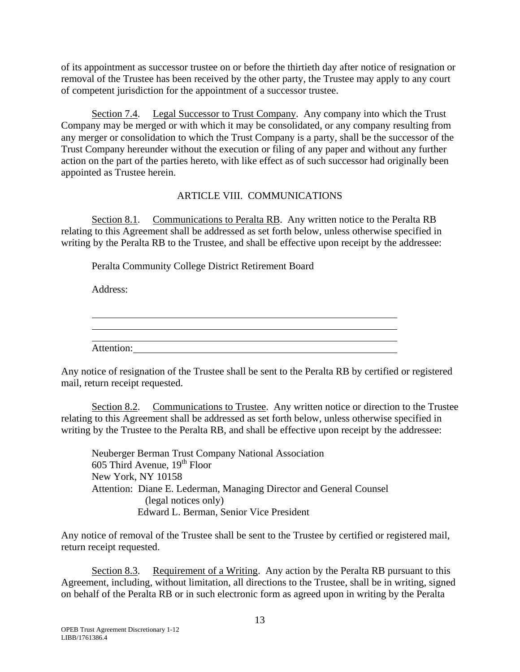of its appointment as successor trustee on or before the thirtieth day after notice of resignation or removal of the Trustee has been received by the other party, the Trustee may apply to any court of competent jurisdiction for the appointment of a successor trustee.

Section 7.4. Legal Successor to Trust Company. Any company into which the Trust Company may be merged or with which it may be consolidated, or any company resulting from any merger or consolidation to which the Trust Company is a party, shall be the successor of the Trust Company hereunder without the execution or filing of any paper and without any further action on the part of the parties hereto, with like effect as of such successor had originally been appointed as Trustee herein.

# ARTICLE VIII. COMMUNICATIONS

Section 8.1. Communications to Peralta RB. Any written notice to the Peralta RB relating to this Agreement shall be addressed as set forth below, unless otherwise specified in writing by the Peralta RB to the Trustee, and shall be effective upon receipt by the addressee:

Peralta Community College District Retirement Board

Address:

| Attention: |  |  |
|------------|--|--|

Any notice of resignation of the Trustee shall be sent to the Peralta RB by certified or registered mail, return receipt requested.

Section 8.2. Communications to Trustee. Any written notice or direction to the Trustee relating to this Agreement shall be addressed as set forth below, unless otherwise specified in writing by the Trustee to the Peralta RB, and shall be effective upon receipt by the addressee:

Neuberger Berman Trust Company National Association 605 Third Avenue,  $19<sup>th</sup>$  Floor New York, NY 10158 Attention: Diane E. Lederman, Managing Director and General Counsel (legal notices only) Edward L. Berman, Senior Vice President

Any notice of removal of the Trustee shall be sent to the Trustee by certified or registered mail, return receipt requested.

Section 8.3. Requirement of a Writing. Any action by the Peralta RB pursuant to this Agreement, including, without limitation, all directions to the Trustee, shall be in writing, signed on behalf of the Peralta RB or in such electronic form as agreed upon in writing by the Peralta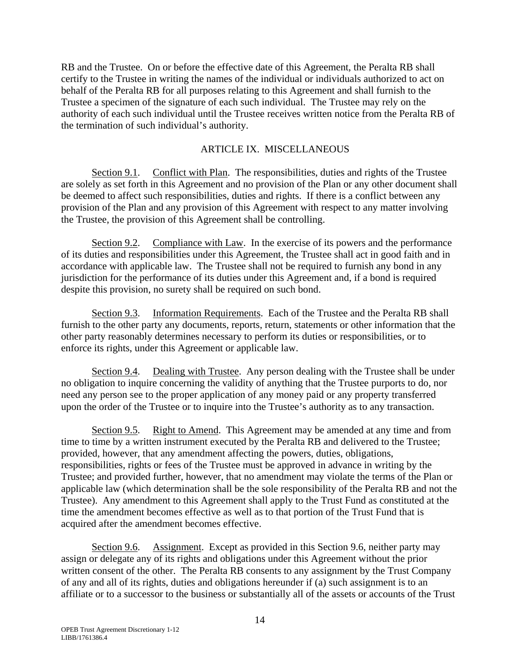RB and the Trustee. On or before the effective date of this Agreement, the Peralta RB shall certify to the Trustee in writing the names of the individual or individuals authorized to act on behalf of the Peralta RB for all purposes relating to this Agreement and shall furnish to the Trustee a specimen of the signature of each such individual. The Trustee may rely on the authority of each such individual until the Trustee receives written notice from the Peralta RB of the termination of such individual's authority.

# ARTICLE IX. MISCELLANEOUS

Section 9.1. Conflict with Plan. The responsibilities, duties and rights of the Trustee are solely as set forth in this Agreement and no provision of the Plan or any other document shall be deemed to affect such responsibilities, duties and rights. If there is a conflict between any provision of the Plan and any provision of this Agreement with respect to any matter involving the Trustee, the provision of this Agreement shall be controlling.

Section 9.2. Compliance with Law. In the exercise of its powers and the performance of its duties and responsibilities under this Agreement, the Trustee shall act in good faith and in accordance with applicable law. The Trustee shall not be required to furnish any bond in any jurisdiction for the performance of its duties under this Agreement and, if a bond is required despite this provision, no surety shall be required on such bond.

Section 9.3. Information Requirements. Each of the Trustee and the Peralta RB shall furnish to the other party any documents, reports, return, statements or other information that the other party reasonably determines necessary to perform its duties or responsibilities, or to enforce its rights, under this Agreement or applicable law.

Section 9.4. Dealing with Trustee. Any person dealing with the Trustee shall be under no obligation to inquire concerning the validity of anything that the Trustee purports to do, nor need any person see to the proper application of any money paid or any property transferred upon the order of the Trustee or to inquire into the Trustee's authority as to any transaction.

Section 9.5. Right to Amend. This Agreement may be amended at any time and from time to time by a written instrument executed by the Peralta RB and delivered to the Trustee; provided, however, that any amendment affecting the powers, duties, obligations, responsibilities, rights or fees of the Trustee must be approved in advance in writing by the Trustee; and provided further, however, that no amendment may violate the terms of the Plan or applicable law (which determination shall be the sole responsibility of the Peralta RB and not the Trustee). Any amendment to this Agreement shall apply to the Trust Fund as constituted at the time the amendment becomes effective as well as to that portion of the Trust Fund that is acquired after the amendment becomes effective.

Section 9.6. Assignment. Except as provided in this Section 9.6, neither party may assign or delegate any of its rights and obligations under this Agreement without the prior written consent of the other. The Peralta RB consents to any assignment by the Trust Company of any and all of its rights, duties and obligations hereunder if (a) such assignment is to an affiliate or to a successor to the business or substantially all of the assets or accounts of the Trust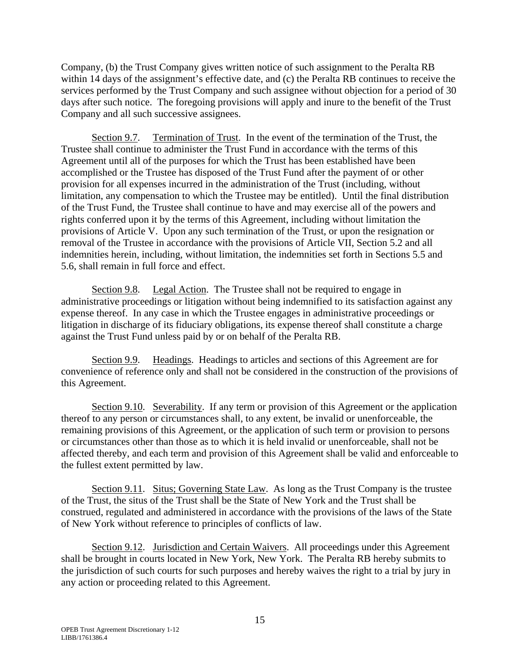Company, (b) the Trust Company gives written notice of such assignment to the Peralta RB within 14 days of the assignment's effective date, and (c) the Peralta RB continues to receive the services performed by the Trust Company and such assignee without objection for a period of 30 days after such notice. The foregoing provisions will apply and inure to the benefit of the Trust Company and all such successive assignees.

Section 9.7. Termination of Trust. In the event of the termination of the Trust, the Trustee shall continue to administer the Trust Fund in accordance with the terms of this Agreement until all of the purposes for which the Trust has been established have been accomplished or the Trustee has disposed of the Trust Fund after the payment of or other provision for all expenses incurred in the administration of the Trust (including, without limitation, any compensation to which the Trustee may be entitled). Until the final distribution of the Trust Fund, the Trustee shall continue to have and may exercise all of the powers and rights conferred upon it by the terms of this Agreement, including without limitation the provisions of Article V. Upon any such termination of the Trust, or upon the resignation or removal of the Trustee in accordance with the provisions of Article VII, Section 5.2 and all indemnities herein, including, without limitation, the indemnities set forth in Sections 5.5 and 5.6, shall remain in full force and effect.

Section 9.8. Legal Action. The Trustee shall not be required to engage in administrative proceedings or litigation without being indemnified to its satisfaction against any expense thereof. In any case in which the Trustee engages in administrative proceedings or litigation in discharge of its fiduciary obligations, its expense thereof shall constitute a charge against the Trust Fund unless paid by or on behalf of the Peralta RB.

Section 9.9. Headings. Headings to articles and sections of this Agreement are for convenience of reference only and shall not be considered in the construction of the provisions of this Agreement.

Section 9.10. Severability. If any term or provision of this Agreement or the application thereof to any person or circumstances shall, to any extent, be invalid or unenforceable, the remaining provisions of this Agreement, or the application of such term or provision to persons or circumstances other than those as to which it is held invalid or unenforceable, shall not be affected thereby, and each term and provision of this Agreement shall be valid and enforceable to the fullest extent permitted by law.

Section 9.11. Situs; Governing State Law. As long as the Trust Company is the trustee of the Trust, the situs of the Trust shall be the State of New York and the Trust shall be construed, regulated and administered in accordance with the provisions of the laws of the State of New York without reference to principles of conflicts of law.

Section 9.12. Jurisdiction and Certain Waivers. All proceedings under this Agreement shall be brought in courts located in New York, New York. The Peralta RB hereby submits to the jurisdiction of such courts for such purposes and hereby waives the right to a trial by jury in any action or proceeding related to this Agreement.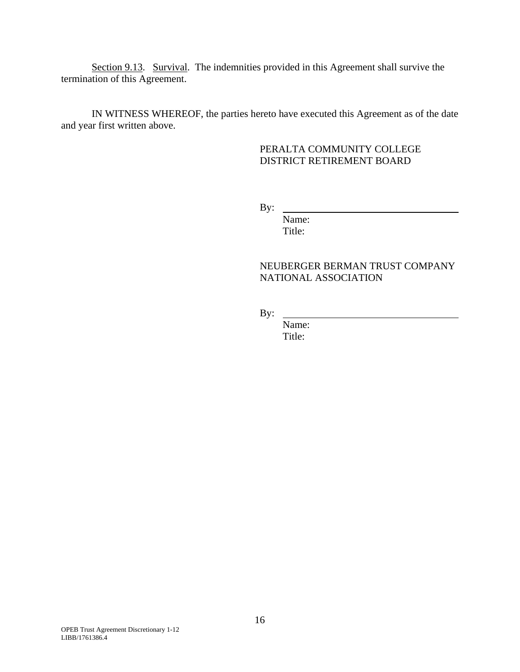Section 9.13. Survival. The indemnities provided in this Agreement shall survive the termination of this Agreement.

IN WITNESS WHEREOF, the parties hereto have executed this Agreement as of the date and year first written above.

# PERALTA COMMUNITY COLLEGE DISTRICT RETIREMENT BOARD

By:

 Name: Title:

# NEUBERGER BERMAN TRUST COMPANY NATIONAL ASSOCIATION

By:

 Name: Title: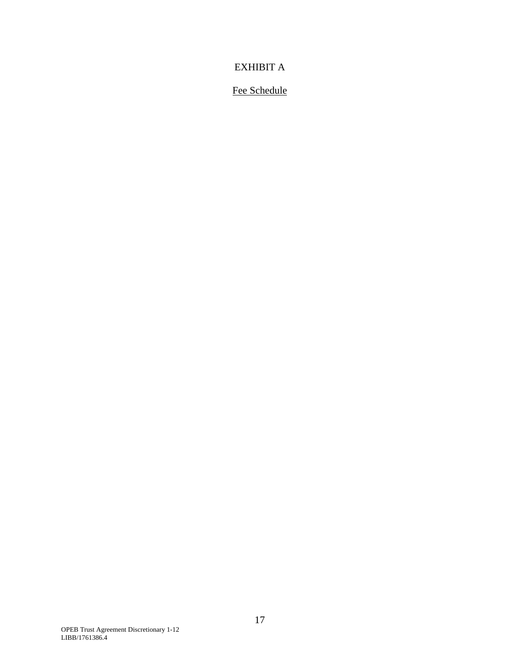# EXHIBIT A

# Fee Schedule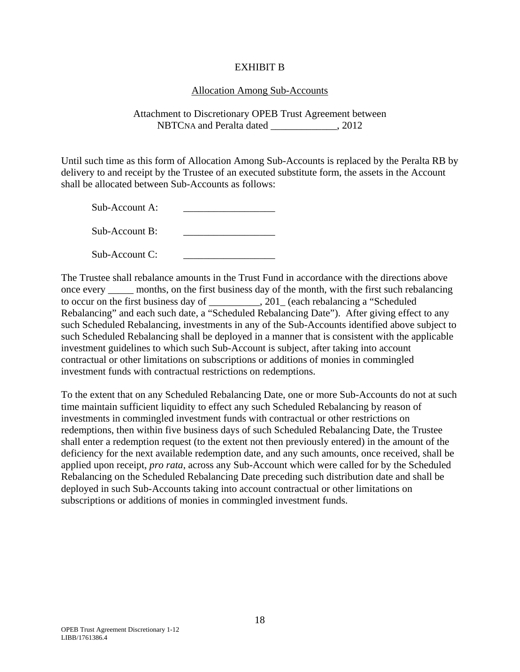# EXHIBIT B

# Allocation Among Sub-Accounts

Attachment to Discretionary OPEB Trust Agreement between NBTCNA and Peralta dated \_\_\_\_\_\_\_\_\_\_\_\_\_, 2012

Until such time as this form of Allocation Among Sub-Accounts is replaced by the Peralta RB by delivery to and receipt by the Trustee of an executed substitute form, the assets in the Account shall be allocated between Sub-Accounts as follows:

 $Sub-Account A$ :

 $\text{Sub-Account } B$ :

 $Sub-Account C$ :

The Trustee shall rebalance amounts in the Trust Fund in accordance with the directions above once every \_\_\_\_\_ months, on the first business day of the month, with the first such rebalancing to occur on the first business day of \_\_\_\_\_\_\_\_\_\_, 201\_ (each rebalancing a "Scheduled Rebalancing" and each such date, a "Scheduled Rebalancing Date"). After giving effect to any such Scheduled Rebalancing, investments in any of the Sub-Accounts identified above subject to such Scheduled Rebalancing shall be deployed in a manner that is consistent with the applicable investment guidelines to which such Sub-Account is subject, after taking into account contractual or other limitations on subscriptions or additions of monies in commingled investment funds with contractual restrictions on redemptions.

To the extent that on any Scheduled Rebalancing Date, one or more Sub-Accounts do not at such time maintain sufficient liquidity to effect any such Scheduled Rebalancing by reason of investments in commingled investment funds with contractual or other restrictions on redemptions, then within five business days of such Scheduled Rebalancing Date, the Trustee shall enter a redemption request (to the extent not then previously entered) in the amount of the deficiency for the next available redemption date, and any such amounts, once received, shall be applied upon receipt, *pro rata*, across any Sub-Account which were called for by the Scheduled Rebalancing on the Scheduled Rebalancing Date preceding such distribution date and shall be deployed in such Sub-Accounts taking into account contractual or other limitations on subscriptions or additions of monies in commingled investment funds.